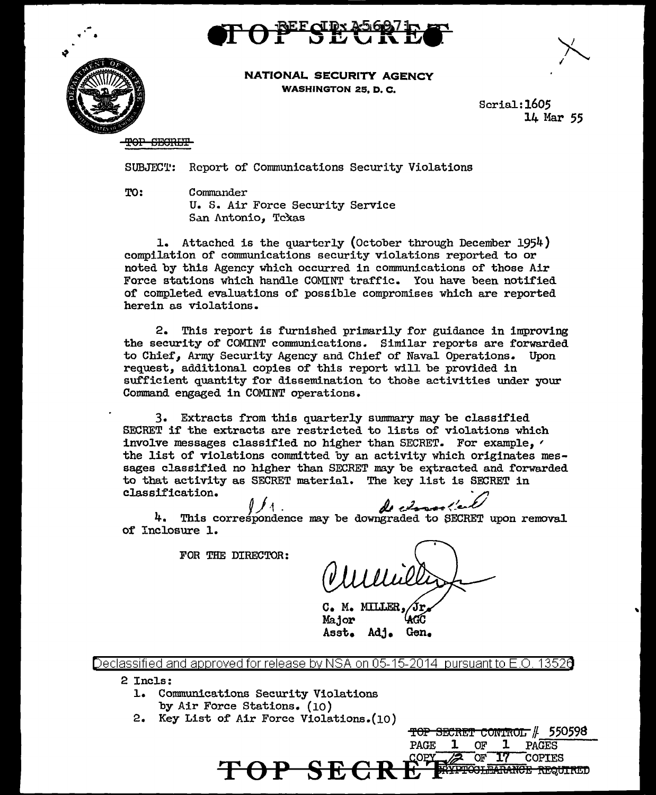



NATIONAL SECURITY AGENCY WASHINGTON 25. D. C.

> Serial:l605 14 Mar 55

TOP SECRET

SUBJECT: Report of Conununications Security Violations

TO: Commander

u. S. Air Force Security Service San Antonio, Texas

1. Attached is the quarterly (October through December 1954) compilation of communications security violations reported to or noted by this Agency which occurred in communications of those Air Force stations which handle COMINT traffic. You have been notified of completed evaluations of possible compromises which are reported herein as violations.

2. This report is furnished primarily for guidance in improving the security of COMINT communications. Similar reports are forwarded to Chief, Army Security Agency and Chief of Naval Operations. Upon request, additional copies of this report will be provided in sufficient quantity for dissemination to those activities under your Command engaged in COMINT operations.

3. Extracts from this quarterly summary may be classified SECRET if the extracts are restricted to lists of violations which involve messages classified no higher than SECRET. For example, ' the list of violations committed by an activity which originates messages classified no higher than SECRET may be extracted and forwarded to that activity as SECRET material. The key list is SECRET in classification.

*PJ<sub>1</sub>. A* charge test of this correspondence may be downgraded to SECRET upon removal of Inclosure 1.

FOR THE DIRECTOR:

<del>TOP SECRET CONIROL //</del> 550598

PAGE 1 OF 1 PAGES<br>COPY 22 OF 17 COPTE

 $S E C R E^{\frac{COPY}{F}}$  of 17 COPIES

c. M. MILLER, Major Asst. Adj. Gen.

Declassified and approved for release by NSA on 05-15-2014 pursuantto E .0. 1352a

2 Incls:

- 1. Connnunications Security Violations by Air Force Stations. (10)
- 2. Key List of Air Force Violations.(10)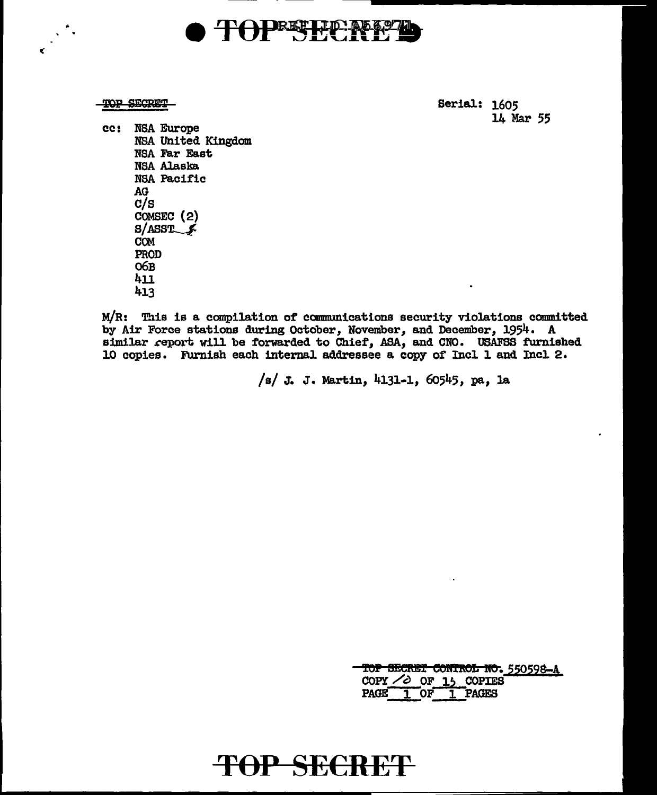# **DRETHP**

TOP SECRET

¢

Serial: 1605 14 Mar 55

cc: NSA Europe NSA United Kingdom NSA Far East **NSA Alaska** NSA Pacific AG  $C/S$ COMSEC (2)  $S/ASST$ **COM** PROD O6B 411 413

M/R: This is a compilation of communications security violations committed by Air Force stations during October, November, and December, 1954. A similar report will be forwarded to Chief, ASA, and CNO. USAFSS furnished 10 copies. Furnish each internal addressee a copy of Incl 1 and Incl 2.

/s/ J. J. Martin, 4131-1, 60545, pa, la

|                            |    |                | TOP SECRET CONTROL NO. 550598-A |
|----------------------------|----|----------------|---------------------------------|
| COPY $\angle$ OF 15 COPIES |    |                |                                 |
| <b>PAGE</b>                | 0F | <b>1 PACES</b> |                                 |

# TOP SECRET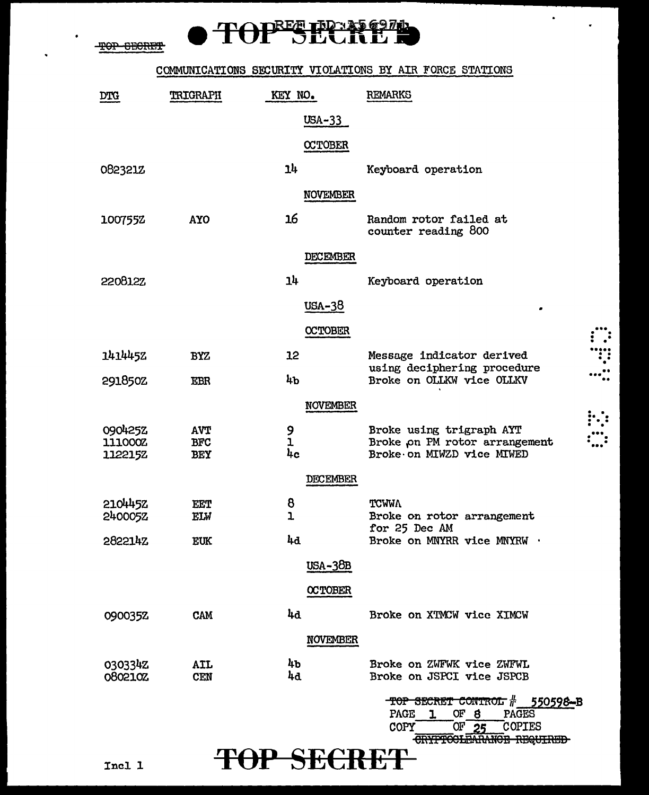TOP SECRET

 $\ddot{\phantom{a}}$ 

# TOPEE PERPEND

#### COMMUNICATIONS SECURITY VIOLATIONS BY AIR FORCE STATIONS

| <b>DTG</b>         | TRIGRAPH                 | KEY NO.         | <b>REMARKS</b>                                                                              |
|--------------------|--------------------------|-----------------|---------------------------------------------------------------------------------------------|
|                    |                          | $USA-33$        |                                                                                             |
|                    |                          | <b>CCTOBER</b>  |                                                                                             |
| 082321Z            |                          | 14              | Keyboard operation                                                                          |
|                    |                          | <b>NOVEMBER</b> |                                                                                             |
| 1007552            | <b>AYO</b>               | 16              | Random rotor failed at<br>counter reading 800                                               |
|                    |                          | DECEMBER        |                                                                                             |
| <b>220812Z</b>     |                          | 1 <sup>h</sup>  | Keyboard operation                                                                          |
|                    |                          | USA-38          |                                                                                             |
|                    |                          | <b>OCTOBER</b>  |                                                                                             |
| 1414452            | <b>BYZ</b>               | 12              | Message indicator derived                                                                   |
| 291850Z            | <b>EBR</b>               | 4b              | using deciphering procedure<br>Broke on OLLKW vice OLLKV                                    |
|                    |                          | <b>NOVEMBER</b> |                                                                                             |
| 0904252            | <b>AVT</b>               | 9<br>1          | Broke using trigraph AYT                                                                    |
| 111000Z<br>112215Z | <b>BFC</b><br><b>BEY</b> | 4c              | Broke on PM rotor arrangement<br>Broke on MIWZD vice MIWED                                  |
|                    |                          | <b>DECEMBER</b> |                                                                                             |
| 2104452            | <b>EET</b>               | 8               | <b>TCWMA</b>                                                                                |
| 240005Z            | ELW                      | ı               | Broke on rotor arrangement<br>for 25 Dec AM                                                 |
| 282214Z            | <b>EUK</b>               | 4d              | Broke on MNYRR vice MNYRW .                                                                 |
|                    |                          | <b>USA-38B</b>  |                                                                                             |
|                    |                          | <b>OCTOBER</b>  |                                                                                             |
| 090035Z            | <b>CAM</b>               | 4d              | Broke on XTMCW vice XIMCW                                                                   |
|                    |                          | <b>NOVEMBER</b> |                                                                                             |
| 0303342<br>0802102 | AIL<br><b>CEN</b>        | 4b<br>4d        | Broke on ZWFWK vice ZWFWL<br>Broke on JSPCI vice JSPCB                                      |
|                    |                          |                 | TOP SECRET CONTROL # 550598-B                                                               |
|                    |                          |                 | OF 8<br>PAGES<br>PAGE<br>$\mathbf{1}$<br>$\overline{\text{OF}}$ 25<br>COPIES<br><b>COPY</b> |

**TOP SECRET** 

CRYPTOCLEARANCE REQUIRED

 $\Box$ 

 $\dddot{...}$ 

W  $\cdots$ 

Incl 1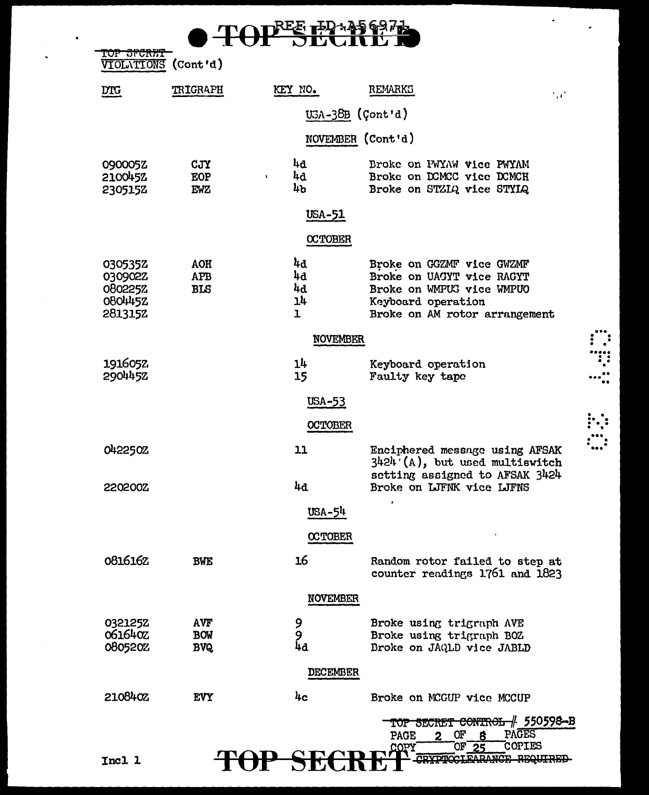

TOP SFCRET<br>VIOLATIONS (Cont'd)

٠

| DTG                | <b>TRIGRAPH</b>          | KEY NO.                  | REMARKS<br>$\sim$                                                                                    |
|--------------------|--------------------------|--------------------------|------------------------------------------------------------------------------------------------------|
|                    |                          |                          | $USA-38B$ (Cont'd)                                                                                   |
|                    |                          |                          | NOVEMBER (Cont'd)                                                                                    |
| 090005Z            | <b>CJY</b>               | 4d                       | Broke on PWYAW Vice PWYAM                                                                            |
| 2100452<br>2305152 | <b>EOP</b><br><b>EWZ</b> | 4d<br>$\mathbf{t}$<br>4b | Broke on DCMCC vice DCMCH<br>Broke on STZIQ vice STYIQ                                               |
|                    |                          | <u>USA-51</u>            |                                                                                                      |
|                    |                          | <b>OCTOBER</b>           |                                                                                                      |
| 0305352            | <b>AOH</b>               | 4d                       | Broke on GGZMF vice GWZMF                                                                            |
| 030902Z<br>080225% | <b>APB</b><br><b>BLS</b> | 4d<br>4d                 | Broke on UAGYT vice RAGYT<br>Broke on WMPUS vice WMPUO                                               |
| 080445Z            |                          | 14                       | Keyboard operation                                                                                   |
| <b>2813152</b>     |                          | $\mathbf{I}$             | Broke on AM rotor arrangement                                                                        |
|                    |                          | NOVEMBER                 |                                                                                                      |
| 1916052            |                          | 14                       | Keyboard operation                                                                                   |
| 2904452            |                          | 15                       | Faulty key tape                                                                                      |
|                    |                          | <b>USA-53</b>            |                                                                                                      |
|                    |                          | <b>OCTOBER</b>           |                                                                                                      |
| 0422502            |                          | 11                       | Enciphered message using AFSAK<br>$3424$ (A), but used multiswitch<br>setting assigned to AFSAK 3424 |
| 220200Z            |                          | 4d                       | Broke on LJFNK vice LJFNS                                                                            |
|                    |                          | USA-54                   |                                                                                                      |
|                    |                          | <b>CCTOBER</b>           |                                                                                                      |
| 0816162            | <b>BWE</b>               | 16                       | Random rotor failed to step at<br>counter readings 1761 and 1823                                     |
|                    |                          | <b>NOVEMBER</b>          |                                                                                                      |
| 0321252            | <b>AVF</b>               |                          | Broke using trigraph AVE                                                                             |
| 0616402            | <b>BOW</b>               | 9<br>9<br>4d             | Broke using trigraph BOZ                                                                             |
| 0805202            | <b>BVQ</b>               |                          | Broke on JAQLD vice JABLD                                                                            |
|                    |                          | DECEMBER                 |                                                                                                      |
| 2108402            | <b>EVY</b>               | 4c                       | Broke on MCGUP vice MCCUP                                                                            |
|                    |                          |                          | TOP SECRET CONTROL / 550598-B<br><b>OF</b><br>PAGES                                                  |
|                    |                          |                          | PAGE<br>$\overline{2}$<br><b>COPIES</b><br>OF.<br>COPY<br>クミ                                         |
| Incl 1             |                          | SE                       |                                                                                                      |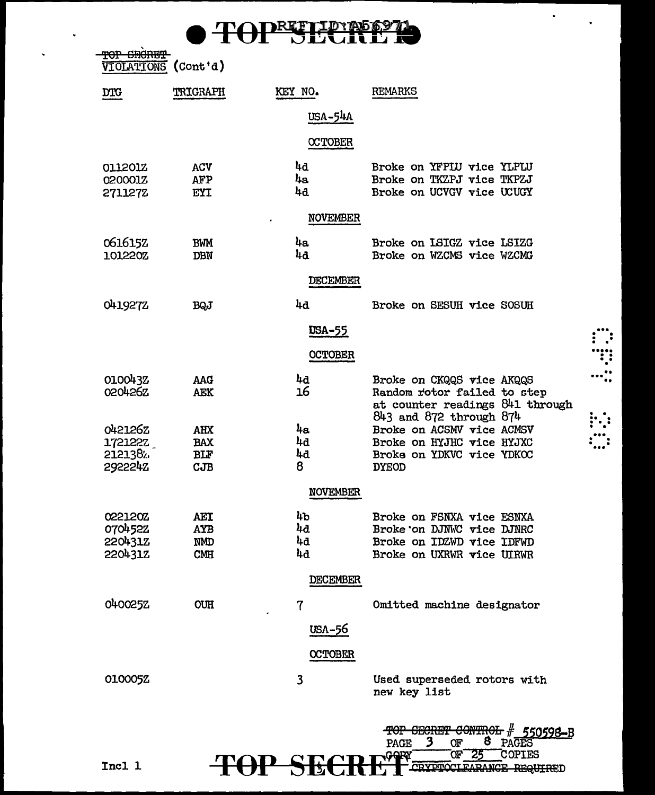**TOPRETHEREE** 

 $\bullet$ 

÷.

 $\vdots$  :

 $\cdots$  :

 $\vdots$ 

TOP SHORET<br>VIOLATIONS (Cont'd)

 $\ddot{\phantom{0}}$ 

| <b>DTG</b>                                      | <b>TRIGRAPH</b>                               | KEY NO.              | REMARKS                                                                                                                |
|-------------------------------------------------|-----------------------------------------------|----------------------|------------------------------------------------------------------------------------------------------------------------|
|                                                 |                                               | USA-54A              |                                                                                                                        |
|                                                 |                                               | <b>CCTOBER</b>       |                                                                                                                        |
| 0112012<br>0200012<br>2711272                   | <b>ACV</b><br>AFP<br><b>EYI</b>               | 4d<br>4a<br>4d       | Broke on YFPLU vice YLPLU<br>Broke on TKZPJ vice TKPZJ<br>Broke on UCVGV vice UCUGY                                    |
|                                                 |                                               | <b>NOVEMBER</b>      |                                                                                                                        |
| 0616152<br>101220Z                              | <b>BWM</b><br><b>DBN</b>                      | 4a<br>4d             | Broke on LSIGZ vice LSIZG<br>Broke on WZCMS vice WZCMG                                                                 |
|                                                 |                                               | <b>DECEMBER</b>      |                                                                                                                        |
| 0419272                                         | <b>BQJ</b>                                    | 4d                   | Broke on SESUH vice SOSUH                                                                                              |
|                                                 |                                               | <u>USA-55</u>        |                                                                                                                        |
|                                                 |                                               | <b>OCTOBER</b>       |                                                                                                                        |
| 0100432<br>020426Z                              | <b>AAG</b><br><b>AEK</b>                      | 4d<br>16             | Broke on CKQQS vice AKQQS<br>Random rotor failed to step<br>at counter readings 841 through<br>843 and 872 through 874 |
| 042126Z<br>1721222                              | <b>AHX</b><br><b>BAX</b>                      | 4a<br>4d             | Broke on ACSMV vice ACMSV<br>Broke on HYJHC vice HYJXC                                                                 |
| 2121382.<br>2922242                             | BLF<br>CJB                                    | 4d<br>8              | Broke on YDKVC vice YDKOC<br><b>DYEOD</b>                                                                              |
|                                                 |                                               | <b>NOVEMBER</b>      |                                                                                                                        |
| 0221202<br>0704522<br>2204312<br><b>220431Z</b> | AEI<br><b>AYB</b><br><b>NMD</b><br><b>CMH</b> | 4b<br>44<br>4d<br>4d | Broke on FSNXA vice ESNXA<br>Broke on DJNWC vice DJNRC<br>Broke on IDZWD vice IDFWD<br>Broke on UXRWR vice UIRWR       |
|                                                 |                                               | <b>DECEMBER</b>      |                                                                                                                        |
| 040025Z                                         | <b>OUH</b>                                    | 7                    | Omitted machine designator                                                                                             |
|                                                 |                                               | USA-56               |                                                                                                                        |
|                                                 |                                               | <b>OCTOBER</b>       |                                                                                                                        |
| 010005Z                                         |                                               | 3                    | Used superseded rotors with<br>new key list                                                                            |
|                                                 | TM                                            | $\blacksquare$       | 4<br>550598-B<br>3<br>8<br><b>PAGES</b><br><b>PAGE</b><br>OF<br>OF.<br><b>COPIES</b>                                   |

Incl 1

TOP SECRET CRETCREARE REQUIRED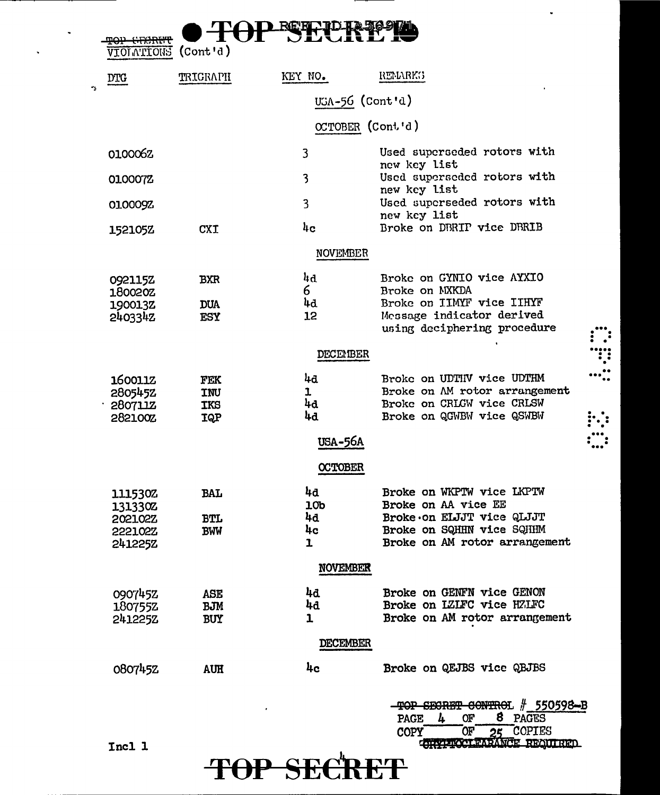|                                                            |                                        | REFEIDER                              |                                                                                                                                             |
|------------------------------------------------------------|----------------------------------------|---------------------------------------|---------------------------------------------------------------------------------------------------------------------------------------------|
| <b>VIOLVLIONS</b>                                          | $($ Cont'd $)$                         |                                       |                                                                                                                                             |
| <b>DTG</b>                                                 | TRIGRAPH                               | KEY NO.                               | REMARKS                                                                                                                                     |
|                                                            |                                        | UGA-56 (Cont'd)                       |                                                                                                                                             |
|                                                            |                                        | OCTOBER (Cont'd)                      |                                                                                                                                             |
| 0100062                                                    |                                        | 3                                     | Used superseded rotors with                                                                                                                 |
| 0100072                                                    |                                        | 3                                     | new key list<br>Used superseded rotors with                                                                                                 |
| 010009Z                                                    |                                        | 3                                     | new key list<br>Used superseded rotors with                                                                                                 |
| 152105Z                                                    | <b>CXI</b>                             | $h_{\rm C}$                           | new kcy list<br>Broke on DBRIP vice DBRIB                                                                                                   |
|                                                            |                                        | <b>NOVEMBER</b>                       |                                                                                                                                             |
| 092115Z<br>180020Z<br>190013Z<br>2403342                   | BXR<br><b>DUA</b><br><b>ESY</b>        | 4d<br>6.<br>4d<br>12                  | Broke on GYNIO vice AYXIO<br>Broke on MXKDA<br>Broke on IIMYF vice IIHYF<br>Message indicator derived<br>using deciphering procedure        |
|                                                            |                                        | <b>DECEMBER</b>                       |                                                                                                                                             |
| 160011Z<br>2805452<br>280711Z<br>282100Z                   | FEK<br>INU<br><b>IKS</b><br><b>IQP</b> | 4d<br>ı<br>4d<br>4d<br><b>USA-56A</b> | Broke on UDTHV vice UDTHM<br>Broke on AM rotor arrangement<br>Broke on CRLGW vice CRLSW<br>Broke on QGWBW vice QSWBW                        |
|                                                            |                                        | <b>OCTOBER</b>                        |                                                                                                                                             |
| 111530Z<br>131330Z<br>202102Z<br><b>222102Z</b><br>241225Z | <b>BAL</b><br><b>BTL</b><br><b>BWW</b> | 4d<br>10b<br>4d<br>4c<br>ı            | Broke on WKPTW vice LKPTW<br>Broke on AA vice EE<br>Broke on ELJJT vice QLJJT<br>Broke on SQHHN vice SQHHM<br>Broke on AM rotor arrangement |
|                                                            |                                        | <b>NOVEMBER</b>                       |                                                                                                                                             |
| 0907452<br>180755Z<br>2412252                              | <b>ASE</b><br><b>BJM</b><br><b>BUY</b> | 4d<br>4d<br>1<br><b>DECEMBER</b>      | Broke on GENFN vice GENON<br>Broke on IZIFC vice HZIFC<br>Broke on AM rotor arrangement                                                     |
| 0807452                                                    | <b>AUH</b>                             | 4c                                    | Broke on QEJBS vice QBJBS                                                                                                                   |
| Incl 1                                                     |                                        |                                       | -TOP SECRET CONTROL # 550598-B<br>8 PAGES<br>PAGE<br>ОF<br>4<br>25 COPIES<br>OF T<br>COPY<br>CHAPTOCLEARANCE REALTRED                       |

v.

 $\ddot{\phantom{0}}$ 

 $\begin{array}{c}\n\cdots \\
\vdots \\
\cdots\n\end{array}$ 

 $\ddotsc$ 

 $\ddot{\phantom{1}}$ 

 $\ddot{\phantom{1}}$ 

# TOP SECRET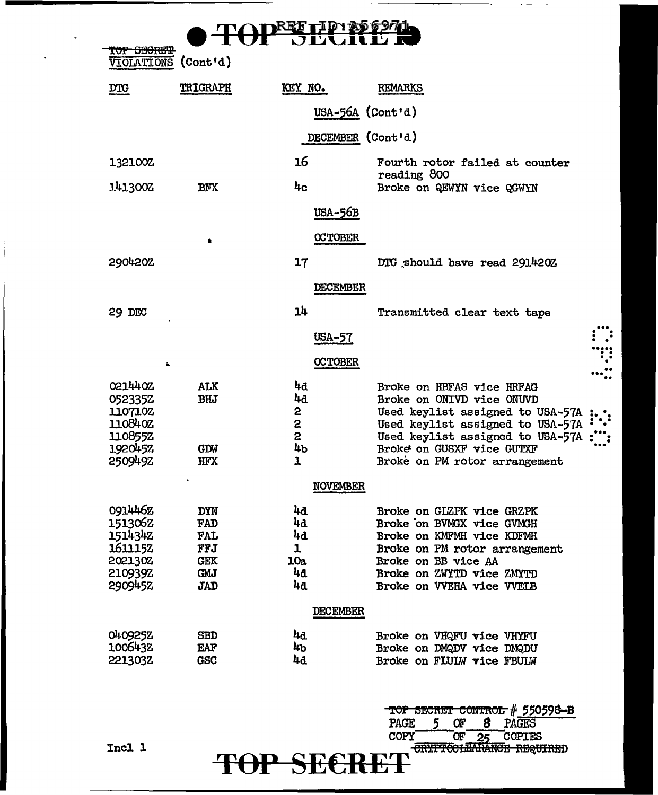| Ωľ<br><b>VIOLATIONS</b>                                                          | (Cont d)                                                                  |                                        |                                                                                                                                                                                                     |  |
|----------------------------------------------------------------------------------|---------------------------------------------------------------------------|----------------------------------------|-----------------------------------------------------------------------------------------------------------------------------------------------------------------------------------------------------|--|
| <b>DTG</b>                                                                       | <b>TRIGRAPH</b>                                                           | KEY NO.                                | <b>REMARKS</b>                                                                                                                                                                                      |  |
|                                                                                  |                                                                           | USA-56A (Cont'd)                       |                                                                                                                                                                                                     |  |
|                                                                                  |                                                                           | DECEMBER (Cont'd)                      |                                                                                                                                                                                                     |  |
| 132100Z                                                                          |                                                                           | 16                                     | Fourth rotor failed at counter<br>reading 800                                                                                                                                                       |  |
| 1.413002                                                                         | <b>BNX</b>                                                                | 4c                                     | Broke on QEWYN vice QGWYN                                                                                                                                                                           |  |
|                                                                                  |                                                                           | <b>USA-56B</b>                         |                                                                                                                                                                                                     |  |
|                                                                                  |                                                                           | <b>CCTOBER</b>                         |                                                                                                                                                                                                     |  |
| 2904202                                                                          |                                                                           | 17                                     | DTG should have read 291420Z                                                                                                                                                                        |  |
|                                                                                  |                                                                           | <b>DECEMBER</b>                        |                                                                                                                                                                                                     |  |
| 29 DEC                                                                           |                                                                           | 14                                     | Transmitted clear text tape                                                                                                                                                                         |  |
|                                                                                  |                                                                           | USA-57                                 |                                                                                                                                                                                                     |  |
| $\mathbf{r}_\mathrm{c}$                                                          |                                                                           | <b>OCTOBER</b>                         |                                                                                                                                                                                                     |  |
| 021440Z<br>0523352<br>1107102<br>110840Z<br>110855Z                              | ALK<br><b>BHJ</b>                                                         | 4d<br>4d<br>2<br>2<br>2                | Broke on HBFAS vice HRFAG<br>Broke on ONIVD vice ONUVD<br>Used keylist assigned to USA-57A<br>Used keylist assigned to USA-57A<br>Used keylist assigned to USA-57A                                  |  |
| 1920452<br>2509492                                                               | <b>GDW</b><br>HFX                                                         | 4ъ<br>1                                | Broke on GUSXF vice GUTXF<br>Broke on PM rotor arrangement                                                                                                                                          |  |
|                                                                                  |                                                                           | <b>NOVEMBER</b>                        |                                                                                                                                                                                                     |  |
| 0914462<br>1513062<br>1514342<br>1611152<br><b>202130Z</b><br>210939Z<br>2909452 | DYN<br>FAD<br><b>FAL</b><br>FFJ<br><b>GEK</b><br><b>GMJ</b><br><b>JAD</b> | 44<br>4d<br>4d<br>1<br>10a<br>4d<br>44 | Broke on GLZPK vice GRZPK<br>Broke on BVMGX vice GVMGH<br>Broke on KMFMH vice KDFMH<br>Broke on PM rotor arrangement<br>Broke on BB vice AA<br>Broke on ZWYTD vice ZMYTD<br>Broke on WEHA vice WEIB |  |
|                                                                                  |                                                                           | <b>DECEMBER</b>                        |                                                                                                                                                                                                     |  |
| 0409252<br>1006432<br>221303Z                                                    | <b>SBD</b><br><b>EAF</b><br><b>GSC</b>                                    | 44<br>4Ъ<br>4d                         | Broke on VHQFU vice VHYFU<br>Broke on DMQDV vice DMQDU<br>Broke on FLULW vice FBULW                                                                                                                 |  |
|                                                                                  |                                                                           |                                        | TOP SECRET CONTROL # 550598-B                                                                                                                                                                       |  |

 $\ddot{\phantom{0}}$ 

 $\overline{\text{TOP}}$ **SECRET** CRIFTGELEARANGE REQUIRED

PAGE 5 OF 8 PAGES COPY OF 25 COPIES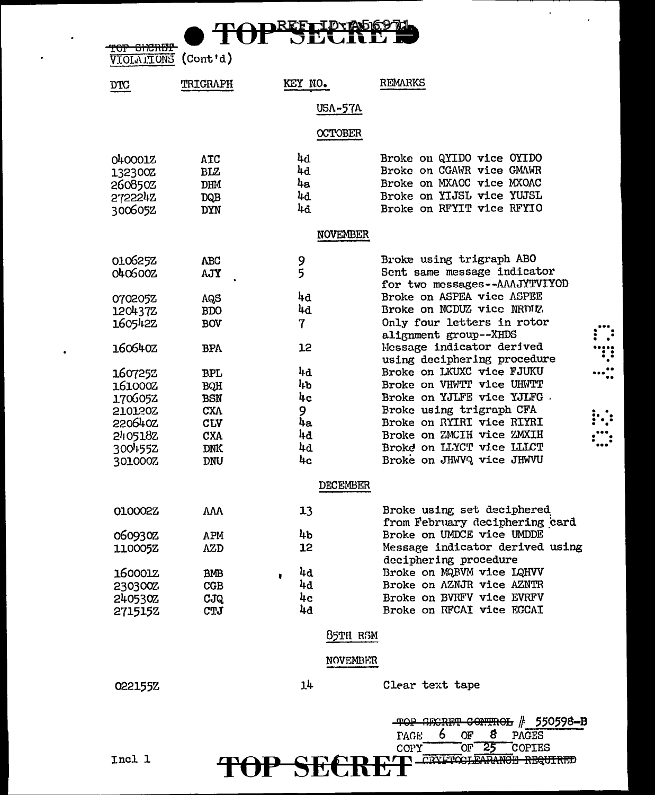REFILD 平 TOP SHORET

| - - -               |  |
|---------------------|--|
| VIOIALIONS (Cont'd) |  |
|                     |  |

| <b>DTC</b>     | <b>TRIGRAPH</b> | KEY NO.                   | <b>REMARKS</b>                       |
|----------------|-----------------|---------------------------|--------------------------------------|
|                |                 | <b>USA-57A</b>            |                                      |
|                |                 | <b>OCTOBER</b>            |                                      |
|                |                 |                           |                                      |
| 040001Z        | ATC             | 4d                        | Broke on QYIDO vice OYIDO            |
| 132300Z        | <b>BLZ</b>      | 4d                        | Broke on CGAWR vice GMAWR            |
| 260850Z        | DHM             | 4a                        | Broke on MXAOC vice MXOAC            |
| 2722242        | DQB             | 4d                        | Broke on YIJSL vice YUJSL            |
| 3006052        | <b>DYN</b>      | 4d                        | Broke on RFYIT vice RFYIO            |
|                |                 | <b>NOVEMBER</b>           |                                      |
| 010625Z        | <b>ABC</b>      |                           | Broke using trigraph ABO             |
| 0406002        | AJY             | 9<br>5                    | Sent same message indicator          |
|                |                 |                           | for two messages--AAAJYTVIYOD        |
| 0702052        | AQS             | 4d                        | Broke on ASPEA vice ASPEE            |
| 1204372        | <b>BDO</b>      | 44                        | Broke on NCDUZ vice NRDUZ            |
| 1605422        | <b>BOV</b>      | 7                         | Only four letters in rotor           |
|                |                 |                           | alignment group--XHDS                |
| 160640Z        | <b>BPA</b>      | 12                        | Message indicator derived            |
|                |                 |                           | using deciphering procedure          |
| 1607252        | <b>BPL</b>      | 4d                        | Broke on LKUXC vice FJUKU            |
| 161000Z        | BQH             | <b>ItP</b>                | Broke on VHWTT vice UHWTT            |
| 1706052        | <b>BSN</b>      | 4c                        | Broke on YJLFE vice YJLFG.           |
| 210120Z        | <b>CXA</b>      | 9                         | Broke using trigraph CFA             |
| 220640Z        | <b>CLV</b>      | 4a                        | Broke on RYIRI vice RIYRI            |
| 240518Z        | <b>CXA</b>      | 4d                        | Broke on ZMCIH vice ZMXIH            |
| 3004552        | <b>DNK</b>      | 4a                        | Broke on LLYCT vice LLLCT            |
| 301000Z        | <b>DNU</b>      | 4c                        | Broke on JHWVQ vice JHWVU            |
|                |                 | <b>DECEMBER</b>           |                                      |
| 010002Z        | VVV             | 13                        | Broke using set deciphered           |
|                |                 |                           | from February deciphering card       |
| 060930Z        | <b>APM</b>      | 4b                        | Broke on UMDCE vice UMDDE            |
| 110005Z        | <b>AZD</b>      | 12                        | Message indicator derived using      |
|                |                 |                           | deciphering procedure                |
| <b>1600012</b> | <b>BMB</b>      | 4d                        | Broke on MQBVM vice LQHVV            |
| 230300Z        | CGB             | 4d                        | Broke on AZNJR vice AZNTR            |
| 240530%        | CJQ             | $\mathbf{h}_{\mathbf{C}}$ | Broke on BVRFV vice EVRFV            |
| 2715152        | CTJ             | 4d                        | Broke on RFCAI vice EGCAI            |
|                |                 | 85TH RSM                  |                                      |
|                |                 | NOVEMBER                  |                                      |
|                |                 |                           |                                      |
| 022155Z        |                 | 14                        | Clear text tape                      |
|                |                 |                           | TOP SECRET CONTROL # 550598-B        |
|                |                 |                           | 6<br>8<br>OF<br><b>TAGE</b><br>PAGES |
|                |                 |                           | 25<br>OF.<br>COPIES<br>COPY          |
| Incl 1         |                 |                           | CRYFTOCLEARANGE REQUIRED             |
|                |                 | SK                        |                                      |

 $\bar{\mathbf{r}}$ 

l,

 $\ddot{\cdot}$  $\cdots$  :

 $\vdots$  :  $\mathbb{C}$ 

 $\bullet$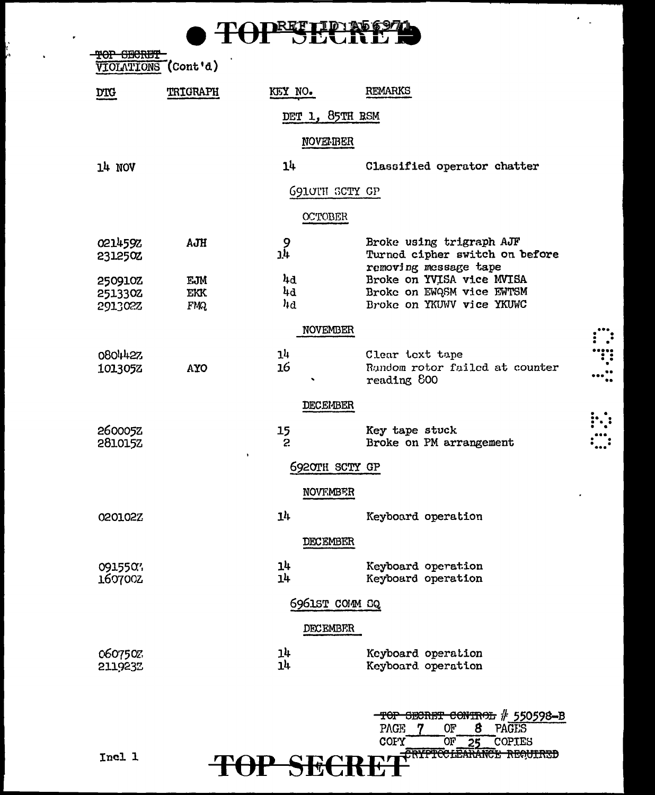|     | TO DREFTID AS 6971        |
|-----|---------------------------|
| TUI | -----<br><b>ULIULLE N</b> |

 $\epsilon_{\rm{max}}$ 

 $\begin{array}{c} \begin{array}{c} \bullet \\ \bullet \\ \bullet \\ \bullet \\ \bullet \\ \bullet \\ \bullet \\ \bullet \\ \bullet \\ \bullet \end{array} \end{array}$ 

| <del>TOP</del><br><b>SECRET</b><br>VIOLATIONS | $\text{Cont } \text{ad}$ |                       |                                                                                     |
|-----------------------------------------------|--------------------------|-----------------------|-------------------------------------------------------------------------------------|
| <u>DIG</u>                                    | <b>TRIGRAPH</b>          | KEY NO.               | <b>REMARKS</b>                                                                      |
|                                               |                          | DET 1, 85TH RSM       |                                                                                     |
|                                               |                          | <b>NOVERBER</b>       |                                                                                     |
| 14 NOV                                        |                          | 14                    | Classified operator chatter                                                         |
|                                               |                          | <b>G910TH SCTY GP</b> |                                                                                     |
|                                               |                          | <b>OCTOBER</b>        |                                                                                     |
| 0214592<br>2312502                            | AJH                      | 9<br>4נ               | Broke using trigraph AJF<br>Turned cipher switch on before<br>removing message tape |
| 250910Z                                       | EJM                      | 4d<br>4d              | Broke on YVISA vice MVISA<br>Broke on EWGSM vice EWTSM                              |
| 251330Z<br>291302Z                            | <b>EKK</b><br><b>FMQ</b> | 4d                    | Broke on YKUWV vice YKUWC                                                           |
|                                               |                          | <b>NOVEMBER</b>       |                                                                                     |
| 0804427                                       |                          | 14<br>16              | Clear text tape<br>Random rotor failed at counter                                   |
| 1013052                                       | <b>AYO</b>               | ٠                     | reading 800                                                                         |
|                                               |                          | <b>DECEMBER</b>       |                                                                                     |
| 260005Z<br>281015Z                            | $\ddot{\phantom{a}}$     | 15<br>S.              | Key tape stuck<br>Broke on PM arrangement                                           |
|                                               |                          | 6920TH SCTY GP        |                                                                                     |
|                                               |                          | NOVEMBER              |                                                                                     |
| 020102Z                                       |                          | 1 <sup>h</sup>        | Keyboard operation                                                                  |
|                                               |                          | <b>DECEMBER</b>       |                                                                                     |
| 0915507<br>1607002                            |                          | 14<br>14              | Keyboard operation<br>Keyboard operation                                            |
|                                               |                          | 6961ST COMM SQ        |                                                                                     |
|                                               |                          | DECEMBER              |                                                                                     |
| 0607502<br>2119232                            |                          | յկ<br>14              | Keyboard operation<br>Keyboard operation                                            |

TOP SECRET OF 8 PAGES<br>
TOP SECRET OF 25 COPIES<br>
TOP SECRET COPIES

Incl 1

 $\mathbf{r} = \mathbf{r}$ 

 $\mathbf{r}$ 

 $\sim 10^{11}$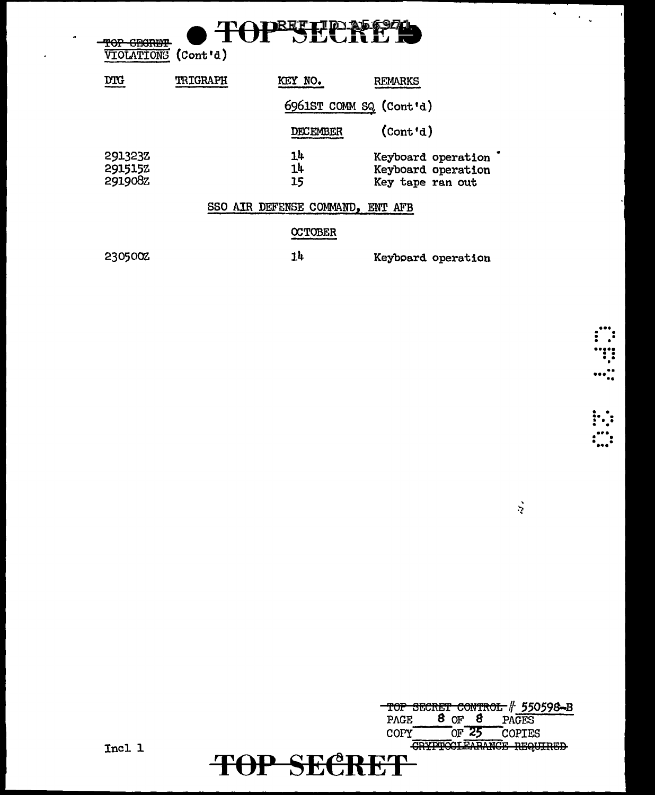| <del>GEGRET</del><br>r vzr<br><b>VIOLATIONS</b> | (Cont d)        | <b>DEEF</b><br>I'JU JI           |                                          |
|-------------------------------------------------|-----------------|----------------------------------|------------------------------------------|
| <b>DTG</b>                                      | <b>TRIGRAPH</b> | KEY NO.                          | REMARKS                                  |
|                                                 |                 | 6961ST COMM SQ (Cont'd)          |                                          |
|                                                 |                 | <b>DECEMBER</b>                  | (Cont 'd)                                |
| 291323Z<br>2915152                              |                 | 14<br>14                         | Keyboard operation<br>Keyboard operation |
| 291908Z                                         |                 | 15                               | Key tape ran out                         |
|                                                 |                 | SSO AIR DEFENSE COMMAND, ENT AFB |                                          |
|                                                 |                 | <b>OCTOBER</b>                   |                                          |
| 2305002                                         |                 | 14                               | Keyboard operation                       |

 $\begin{array}{c} \begin{array}{c} \cdots \\ \cdots \\ \cdots \\ \cdots \\ \cdots \\ \cdots \\ \cdots \\ \cdots \\ \cdots \end{array} \\ \cdots \\ \cdots \\ \cdots \\ \cdots \\ \cdots \\ \cdots \\ \cdots \end{array} \\ \begin{array}{c} \cdots \\ \cdots \\ \cdots \\ \cdots \\ \cdots \\ \cdots \\ \cdots \\ \cdots \end{array} \\$ 

 $\mathbf{A} = \mathbf{A} \mathbf{A}$ 

TOP SECRET CONTROL # 550598-B<br>PAGE 8 OF 8 PAGES COPY OF 25 COPIES TOP SECRET

Incl 1

 $\blacktriangleleft$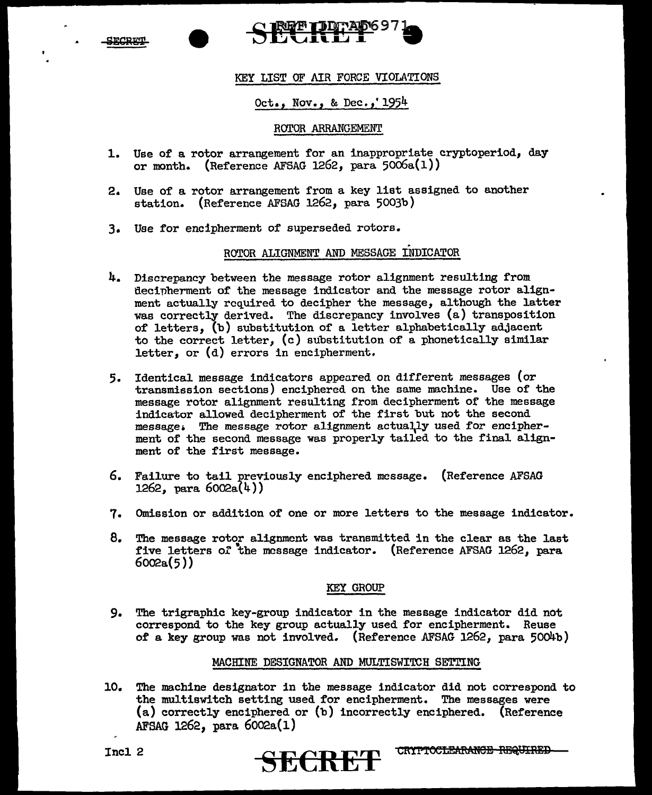<u> draptu</u>

## <u>IFTI TAD697</u>

#### KEY LIST OF AIR FORCE VIOLATIONS

#### Oct., Nov., & Dec.,•1954

#### ROTOR ARRANGEMENT

- 1. Use of a rotor arrangement for an inappropriate cryptoperiod, day or month. (Reference AFSAG 1262, para  $5006a(1)$ )
- 2. Use of a rotor arrangement from a key list assigned to another station. (Reference AFSAG 1262, para 5003b)
- 3. Use for encipherment of superseded rotors.

#### ROTOR ALIGNMENT AND MESSAGE INDICATOR

- 4. Discrepancy between the message rotor alignment resulting from decipherment of the message indicator and the message rotor alignment actually required to decipher the message, although the latter was correctly derived. The discrepancy involves (a) transposition of letters, (b) substitution of a letter alphabetically adjacent to the correct letter, (c) substitution of a phonetically similar letter, or (d) errors in encipherment.
- 5. Identical message indicators appeared on difrerent messages (or transmission sections) enciphered on the same machine. Use of the message rotor alignment resulting from decipherment of the message indicator allowed decipherment of the first but not the second message• The message rotor alignment actua\ly used for encipherment of the second message was properly tailed to the final alignment of the first message.
- 6. Failure to tail previously enciphered message. (Reference AFSAG  $1262, ~para 6002a(4)$
- 7. Omission or addition of one or more letters to the message indicator.
- 8. The message rotor alignment was transmitted in the clear as the last five letters *ot* the message indicator. (Reference AFSAG 1262, para  $6002a(5)$

#### KEY GROUP

9. The trigraphic key-group indicator in the message indicator did not correspond to the key group actually used for encipherment. Reuse of a key group was not involved. (Reference AFSAG 1262, para 5004b)

#### MACHINE DESIGNATOR AND MULTISWITCH SETTING

10. The machine designator in the message indicator did not correspond to the multiswitch setting used for encipherment. The messages were (a) correctly enciphered or (b) incorrectly enciphered. (Reference AFSAG 1262, para  $6002a(1)$ 

CRYPTOCLEARANCE REQUIRED